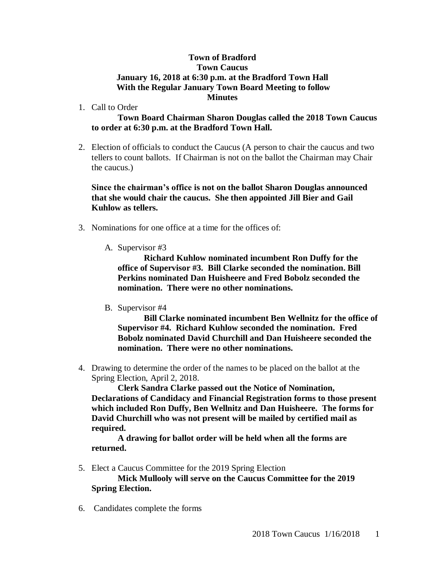## **Town of Bradford Town Caucus January 16, 2018 at 6:30 p.m. at the Bradford Town Hall With the Regular January Town Board Meeting to follow Minutes**

1. Call to Order

## **Town Board Chairman Sharon Douglas called the 2018 Town Caucus to order at 6:30 p.m. at the Bradford Town Hall.**

2. Election of officials to conduct the Caucus (A person to chair the caucus and two tellers to count ballots. If Chairman is not on the ballot the Chairman may Chair the caucus.)

## **Since the chairman's office is not on the ballot Sharon Douglas announced that she would chair the caucus. She then appointed Jill Bier and Gail Kuhlow as tellers.**

- 3. Nominations for one office at a time for the offices of:
	- A. Supervisor #3

**Richard Kuhlow nominated incumbent Ron Duffy for the office of Supervisor #3. Bill Clarke seconded the nomination. Bill Perkins nominated Dan Huisheere and Fred Bobolz seconded the nomination. There were no other nominations.**

B. Supervisor #4

**Bill Clarke nominated incumbent Ben Wellnitz for the office of Supervisor #4. Richard Kuhlow seconded the nomination. Fred Bobolz nominated David Churchill and Dan Huisheere seconded the nomination. There were no other nominations.**

4. Drawing to determine the order of the names to be placed on the ballot at the Spring Election, April 2, 2018.

**Clerk Sandra Clarke passed out the Notice of Nomination, Declarations of Candidacy and Financial Registration forms to those present which included Ron Duffy, Ben Wellnitz and Dan Huisheere. The forms for David Churchill who was not present will be mailed by certified mail as required.**

**A drawing for ballot order will be held when all the forms are returned.**

5. Elect a Caucus Committee for the 2019 Spring Election

**Mick Mullooly will serve on the Caucus Committee for the 2019 Spring Election.**

6. Candidates complete the forms